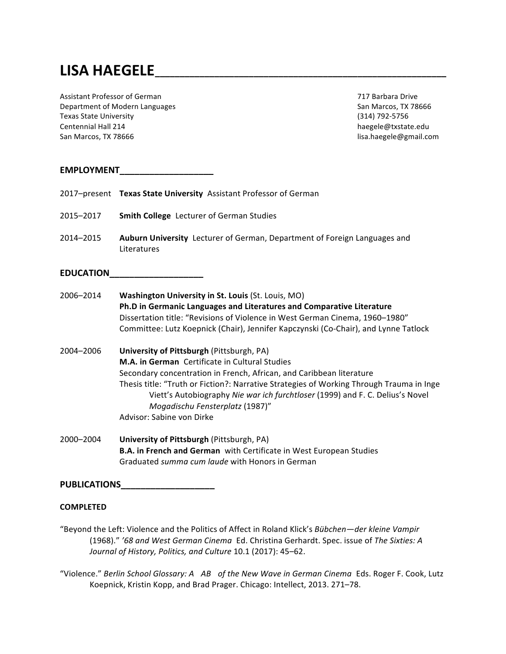# **LISA HAEGELE\_\_\_\_\_\_\_\_\_\_\_\_\_\_\_\_\_\_\_\_\_\_\_\_\_\_\_\_\_\_\_\_\_\_\_\_\_\_\_\_\_\_\_\_\_\_\_\_\_\_\_\_\_\_\_\_\_\_\_**

Assistant Professor of German 717 Barbara Drive Department of Modern Languages San Marcos, TX 78666 Texas State University (314) 792-5756 Centennial Hall 214 haegele@txstate.edu San Marcos, TX 78666 **and San America** and San America and San America and San America and San America and San America and San America and San America and San America and San America and San America and San America and San

# **EMPLOYMENT\_\_\_\_\_\_\_\_\_\_\_\_\_\_\_\_\_\_\_**

|                     | 2017-present Texas State University Assistant Professor of German                                                                                                                                                                                                                                                                                                                                                       |
|---------------------|-------------------------------------------------------------------------------------------------------------------------------------------------------------------------------------------------------------------------------------------------------------------------------------------------------------------------------------------------------------------------------------------------------------------------|
| 2015-2017           | Smith College Lecturer of German Studies                                                                                                                                                                                                                                                                                                                                                                                |
| 2014-2015           | Auburn University Lecturer of German, Department of Foreign Languages and<br>Literatures                                                                                                                                                                                                                                                                                                                                |
| <b>EDUCATION</b>    |                                                                                                                                                                                                                                                                                                                                                                                                                         |
| 2006-2014           | Washington University in St. Louis (St. Louis, MO)<br>Ph.D in Germanic Languages and Literatures and Comparative Literature<br>Dissertation title: "Revisions of Violence in West German Cinema, 1960-1980"<br>Committee: Lutz Koepnick (Chair), Jennifer Kapczynski (Co-Chair), and Lynne Tatlock                                                                                                                      |
| 2004-2006           | University of Pittsburgh (Pittsburgh, PA)<br><b>M.A. in German</b> Certificate in Cultural Studies<br>Secondary concentration in French, African, and Caribbean literature<br>Thesis title: "Truth or Fiction?: Narrative Strategies of Working Through Trauma in Inge<br>Viett's Autobiography Nie war ich furchtloser (1999) and F. C. Delius's Novel<br>Mogadischu Fensterplatz (1987)"<br>Advisor: Sabine von Dirke |
| 2000-2004           | University of Pittsburgh (Pittsburgh, PA)<br>B.A. in French and German with Certificate in West European Studies<br>Graduated summa cum laude with Honors in German                                                                                                                                                                                                                                                     |
| <b>PUBLICATIONS</b> |                                                                                                                                                                                                                                                                                                                                                                                                                         |

# **COMPLETED**

"Beyond the Left: Violence and the Politics of Affect in Roland Klick's *Bübchen—der kleine Vampir* (1968)." *'68 and West German Cinema* Ed. Christina Gerhardt. Spec. issue of *The Sixties: A* Journal of History, Politics, and Culture 10.1 (2017): 45-62.

"Violence." Berlin School Glossary: A AB of the New Wave in German Cinema Eds. Roger F. Cook, Lutz Koepnick, Kristin Kopp, and Brad Prager. Chicago: Intellect, 2013. 271–78.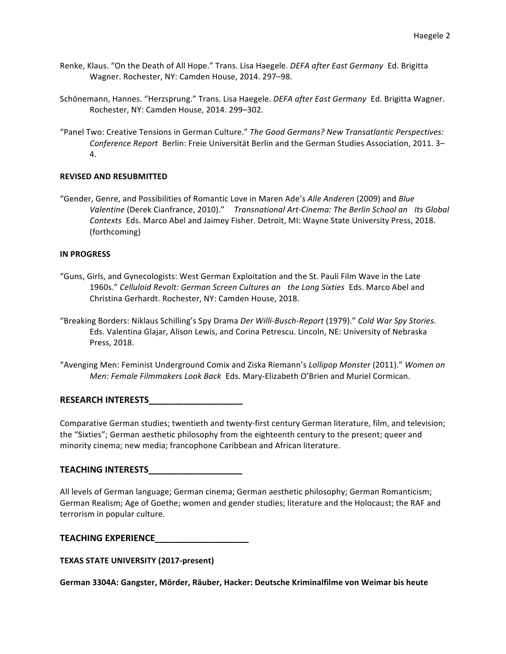- Renke, Klaus. "On the Death of All Hope." Trans. Lisa Haegele. *DEFA after East Germany* Ed. Brigitta Wagner. Rochester, NY: Camden House, 2014. 297-98.
- Schönemann, Hannes. "Herzsprung." Trans. Lisa Haegele. *DEFA after East Germany* Ed. Brigitta Wagner. Rochester, NY: Camden House, 2014. 299-302.
- "Panel Two: Creative Tensions in German Culture." *The Good Germans? New Transatlantic Perspectives: Conference Report* Berlin: Freie Universität Berlin and the German Studies Association, 2011. 3– 4.

## **REVISED AND RESUBMITTED**

"Gender, Genre, and Possibilities of Romantic Love in Maren Ade's *Alle Anderen* (2009) and *Blue Valentine* (Derek Cianfrance, 2010)." *Transnational Art-Cinema: The Berlin School an Its Global Contexts* Eds. Marco Abel and Jaimey Fisher. Detroit, MI: Wayne State University Press, 2018. (forthcoming) 

## **IN PROGRESS**

- "Guns, Girls, and Gynecologists: West German Exploitation and the St. Pauli Film Wave in the Late 1960s." *Celluloid Revolt: German Screen Cultures an the Long Sixties* Eds. Marco Abel and Christina Gerhardt. Rochester, NY: Camden House, 2018.
- "Breaking Borders: Niklaus Schilling's Spy Drama *Der Willi-Busch-Report* (1979)." *Cold War Spy Stories*. Eds. Valentina Glajar, Alison Lewis, and Corina Petrescu. Lincoln, NE: University of Nebraska Press, 2018.
- "Avenging Men: Feminist Underground Comix and Ziska Riemann's *Lollipop Monster* (2011)." *Women on Men: Female Filmmakers Look Back* Eds. Mary-Elizabeth O'Brien and Muriel Cormican.

## **RESEARCH INTERESTS**

Comparative German studies; twentieth and twenty-first century German literature, film, and television; the "Sixties"; German aesthetic philosophy from the eighteenth century to the present; queer and minority cinema; new media; francophone Caribbean and African literature.

## **TEACHING INTERESTS\_\_\_\_\_\_\_\_\_\_\_\_\_\_\_\_\_\_\_**

All levels of German language; German cinema; German aesthetic philosophy; German Romanticism; German Realism; Age of Goethe; women and gender studies; literature and the Holocaust; the RAF and terrorism in popular culture.

| <b>TEACHING EXPERIENCE</b> |  |
|----------------------------|--|
|                            |  |

**TEXAS STATE UNIVERSITY (2017-present)**

**German 3304A: Gangster, Mörder, Räuber, Hacker: Deutsche Kriminalfilme von Weimar bis heute**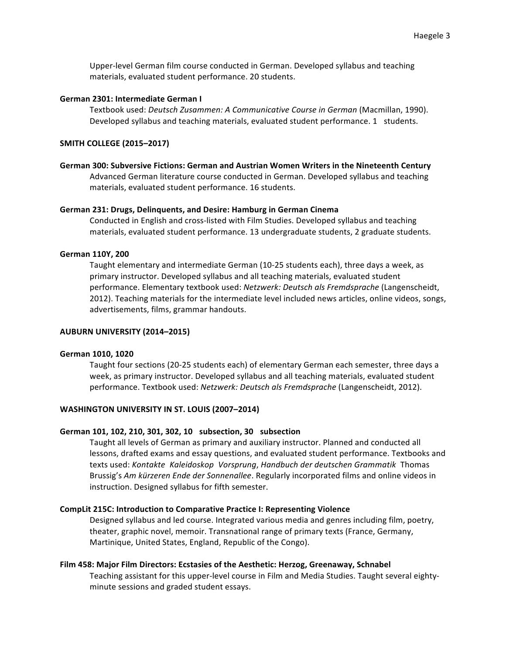Upper-level German film course conducted in German. Developed syllabus and teaching materials, evaluated student performance. 20 students.

#### **German 2301: Intermediate German I**

Textbook used: *Deutsch Zusammen: A Communicative Course in German* (Macmillan, 1990). Developed syllabus and teaching materials, evaluated student performance. 1 students.

#### **SMITH COLLEGE (2015–2017)**

**German 300: Subversive Fictions: German and Austrian Women Writers in the Nineteenth Century** Advanced German literature course conducted in German. Developed syllabus and teaching materials, evaluated student performance. 16 students.

#### **German 231: Drugs, Delinquents, and Desire: Hamburg in German Cinema**

Conducted in English and cross-listed with Film Studies. Developed syllabus and teaching materials, evaluated student performance. 13 undergraduate students, 2 graduate students.

## **German 110Y, 200**

Taught elementary and intermediate German (10-25 students each), three days a week, as primary instructor. Developed syllabus and all teaching materials, evaluated student performance. Elementary textbook used: *Netzwerk: Deutsch als Fremdsprache* (Langenscheidt, 2012). Teaching materials for the intermediate level included news articles, online videos, songs, advertisements, films, grammar handouts.

## **AUBURN UNIVERSITY (2014–2015)**

#### German 1010, 1020

Taught four sections (20-25 students each) of elementary German each semester, three days a week, as primary instructor. Developed syllabus and all teaching materials, evaluated student performance. Textbook used: *Netzwerk: Deutsch als Fremdsprache* (Langenscheidt, 2012).

## **WASHINGTON UNIVERSITY IN ST. LOUIS (2007–2014)**

#### **German 101, 102, 210, 301, 302, 10 subsection, 30 subsection**

Taught all levels of German as primary and auxiliary instructor. Planned and conducted all lessons, drafted exams and essay questions, and evaluated student performance. Textbooks and texts used: *Kontakte Kaleidoskop Vorsprung*, *Handbuch der deutschen Grammatik* Thomas Brussig's Am kürzeren Ende der Sonnenallee. Regularly incorporated films and online videos in instruction. Designed syllabus for fifth semester.

#### **CompLit 215C: Introduction to Comparative Practice I: Representing Violence**

Designed syllabus and led course. Integrated various media and genres including film, poetry, theater, graphic novel, memoir. Transnational range of primary texts (France, Germany, Martinique, United States, England, Republic of the Congo).

#### **Film 458: Major Film Directors: Ecstasies of the Aesthetic: Herzog, Greenaway, Schnabel**

Teaching assistant for this upper-level course in Film and Media Studies. Taught several eightyminute sessions and graded student essays.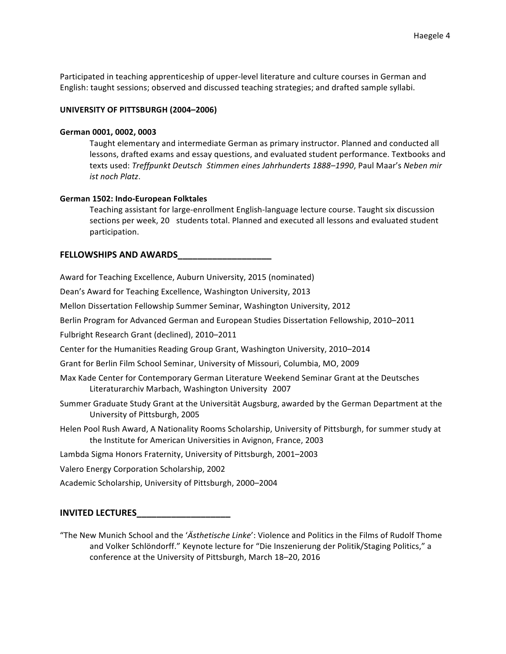Participated in teaching apprenticeship of upper-level literature and culture courses in German and English: taught sessions; observed and discussed teaching strategies; and drafted sample syllabi.

## **UNIVERSITY OF PITTSBURGH (2004–2006)**

#### **German 0001, 0002, 0003**

Taught elementary and intermediate German as primary instructor. Planned and conducted all lessons, drafted exams and essay questions, and evaluated student performance. Textbooks and texts used: *Treffpunkt Deutsch Stimmen eines Jahrhunderts 1888–1990*, Paul Maar's *Neben mir ist noch Platz*.

## **German 1502: Indo-European Folktales**

Teaching assistant for large-enrollment English-language lecture course. Taught six discussion sections per week, 20 students total. Planned and executed all lessons and evaluated student participation.

## **FELLOWSHIPS AND AWARDS\_\_\_\_\_\_\_\_\_\_\_\_\_\_\_\_\_\_\_**

Award for Teaching Excellence, Auburn University, 2015 (nominated)

Dean's Award for Teaching Excellence, Washington University, 2013

Mellon Dissertation Fellowship Summer Seminar, Washington University, 2012

Berlin Program for Advanced German and European Studies Dissertation Fellowship, 2010–2011

Fulbright Research Grant (declined), 2010-2011

Center for the Humanities Reading Group Grant, Washington University, 2010-2014

Grant for Berlin Film School Seminar, University of Missouri, Columbia, MO, 2009

- Max Kade Center for Contemporary German Literature Weekend Seminar Grant at the Deutsches Literaturarchiv Marbach, Washington University 2007
- Summer Graduate Study Grant at the Universität Augsburg, awarded by the German Department at the University of Pittsburgh, 2005
- Helen Pool Rush Award, A Nationality Rooms Scholarship, University of Pittsburgh, for summer study at the Institute for American Universities in Avignon, France, 2003

Lambda Sigma Honors Fraternity, University of Pittsburgh, 2001–2003

Valero Energy Corporation Scholarship, 2002

Academic Scholarship, University of Pittsburgh, 2000–2004

## **INVITED LECTURES\_\_\_\_\_\_\_\_\_\_\_\_\_\_\_\_\_\_\_**

"The New Munich School and the '*Ästhetische Linke*': Violence and Politics in the Films of Rudolf Thome and Volker Schlöndorff." Keynote lecture for "Die Inszenierung der Politik/Staging Politics," a conference at the University of Pittsburgh, March 18-20, 2016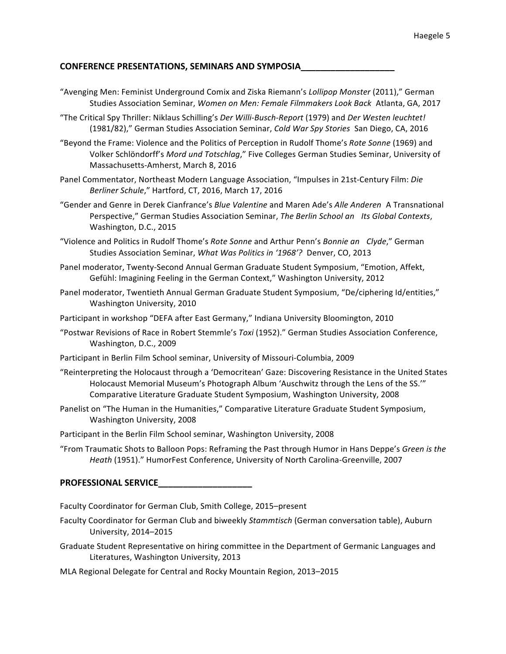# **CONFERENCE PRESENTATIONS, SEMINARS AND SYMPOSIA\_\_\_\_\_\_\_\_\_\_\_\_\_\_\_\_\_\_\_**

- "Avenging Men: Feminist Underground Comix and Ziska Riemann's *Lollipop Monster* (2011)," German Studies Association Seminar, *Women on Men: Female Filmmakers Look Back* Atlanta, GA, 2017
- "The Critical Spy Thriller: Niklaus Schilling's *Der Willi-Busch-Report* (1979) and *Der Westen leuchtet!* (1981/82)," German Studies Association Seminar, *Cold War Spy Stories* San Diego, CA, 2016
- "Beyond the Frame: Violence and the Politics of Perception in Rudolf Thome's *Rote Sonne* (1969) and Volker Schlöndorff's Mord und Totschlag," Five Colleges German Studies Seminar, University of Massachusetts-Amherst, March 8, 2016
- Panel Commentator, Northeast Modern Language Association, "Impulses in 21st-Century Film: *Die Berliner Schule*," Hartford, CT, 2016, March 17, 2016
- "Gender and Genre in Derek Cianfrance's *Blue Valentine* and Maren Ade's *Alle Anderen* A Transnational Perspective," German Studies Association Seminar, *The Berlin School an Its Global Contexts*, Washington, D.C., 2015
- "Violence and Politics in Rudolf Thome's *Rote Sonne* and Arthur Penn's *Bonnie an Clyde*," German Studies Association Seminar, *What Was Politics in '1968'?* Denver, CO, 2013
- Panel moderator, Twenty-Second Annual German Graduate Student Symposium, "Emotion, Affekt, Gefühl: Imagining Feeling in the German Context," Washington University, 2012
- Panel moderator, Twentieth Annual German Graduate Student Symposium, "De/ciphering Id/entities," Washington University, 2010
- Participant in workshop "DEFA after East Germany," Indiana University Bloomington, 2010
- "Postwar Revisions of Race in Robert Stemmle's *Toxi* (1952)." German Studies Association Conference, Washington, D.C., 2009
- Participant in Berlin Film School seminar, University of Missouri-Columbia, 2009
- "Reinterpreting the Holocaust through a 'Democritean' Gaze: Discovering Resistance in the United States Holocaust Memorial Museum's Photograph Album 'Auschwitz through the Lens of the SS." Comparative Literature Graduate Student Symposium, Washington University, 2008
- Panelist on "The Human in the Humanities," Comparative Literature Graduate Student Symposium, Washington University, 2008
- Participant in the Berlin Film School seminar, Washington University, 2008
- "From Traumatic Shots to Balloon Pops: Reframing the Past through Humor in Hans Deppe's *Green is the Heath* (1951)." HumorFest Conference, University of North Carolina-Greenville, 2007

# **PROFESSIONAL SERVICE\_\_\_\_\_\_\_\_\_\_\_\_\_\_\_\_\_\_\_**

Faculty Coordinator for German Club, Smith College, 2015–present

- Faculty Coordinator for German Club and biweekly *Stammtisch* (German conversation table), Auburn University, 2014–2015
- Graduate Student Representative on hiring committee in the Department of Germanic Languages and Literatures, Washington University, 2013
- MLA Regional Delegate for Central and Rocky Mountain Region, 2013–2015